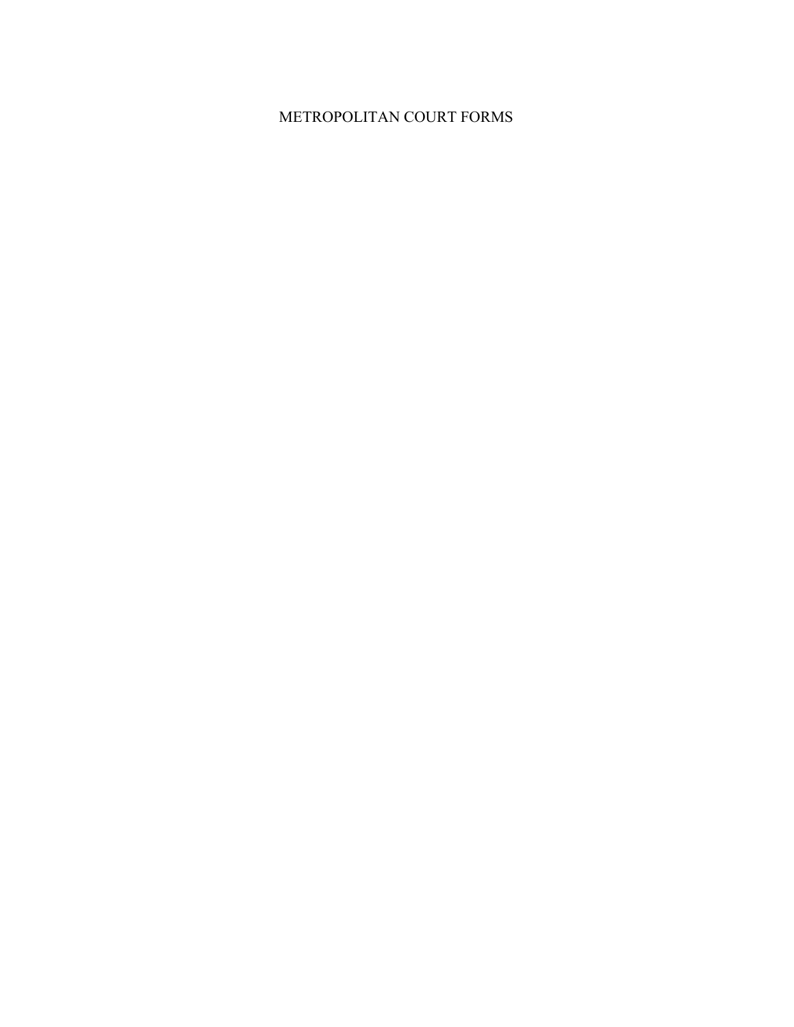## METROPOLITAN COURT FORMS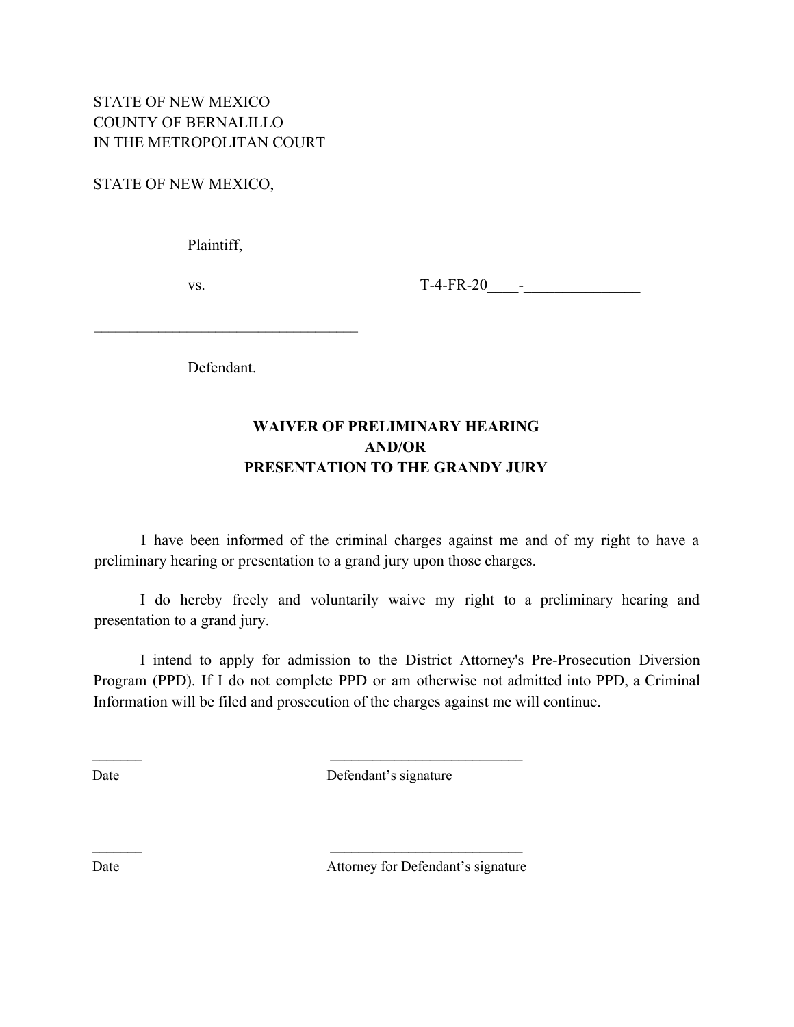STATE OF NEW MEXICO,

Plaintiff,

vs. T-4-FR-20\_\_\_\_-\_\_\_\_\_\_\_\_\_\_\_\_\_\_\_

Defendant.

 $\mathcal{L}_\text{max}$ 

### **WAIVER OF PRELIMINARY HEARING AND/OR PRESENTATION TO THE GRANDY JURY**

I have been informed of the criminal charges against me and of my right to have a preliminary hearing or presentation to a grand jury upon those charges.

I do hereby freely and voluntarily waive my right to a preliminary hearing and presentation to a grand jury.

I intend to apply for admission to the District Attorney's Pre-Prosecution Diversion Program (PPD). If I do not complete PPD or am otherwise not admitted into PPD, a Criminal Information will be filed and prosecution of the charges against me will continue.

Date Defendant's signature

 $\mathcal{L}_\text{max}$  and  $\mathcal{L}_\text{max}$  and  $\mathcal{L}_\text{max}$  and  $\mathcal{L}_\text{max}$ 

 $\mathcal{L}_\text{max}$  and  $\mathcal{L}_\text{max}$  and  $\mathcal{L}_\text{max}$  and  $\mathcal{L}_\text{max}$ 

Date **Defendant's** signature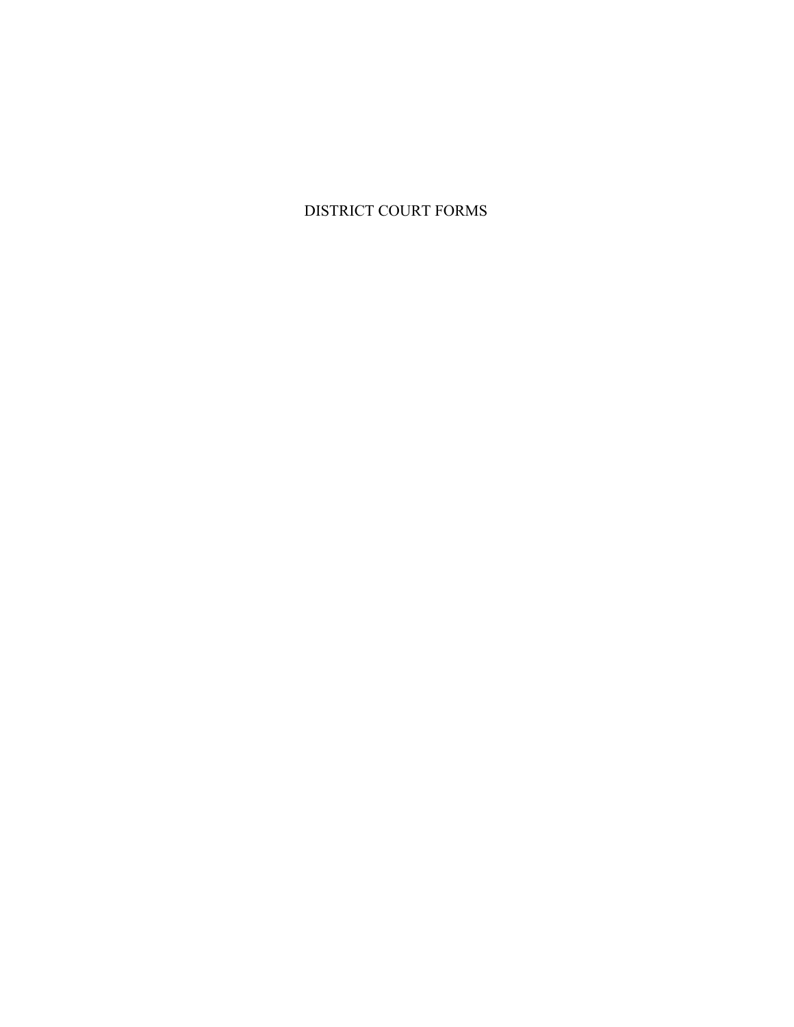### DISTRICT COURT FORMS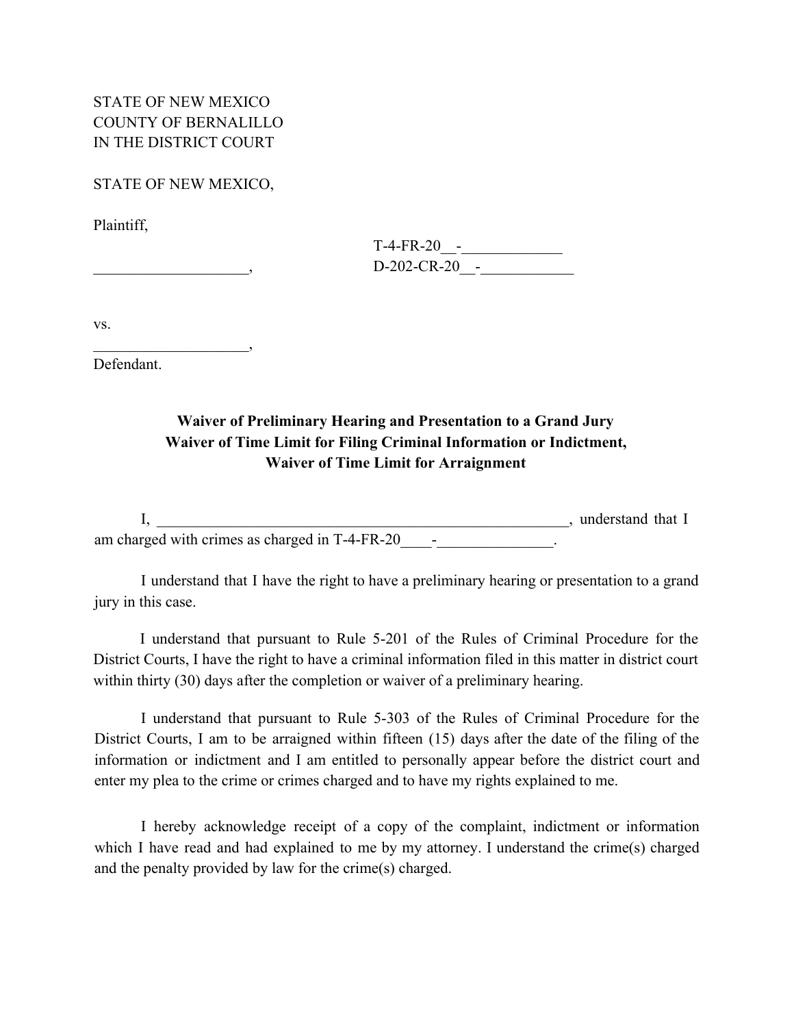STATE OF NEW MEXICO COUNTY OF BERNALILLO IN THE DISTRICT COURT

STATE OF NEW MEXICO,

Plaintiff,

 $\overline{\phantom{a}}$ 

| $T-4-FR-20 -$   |
|-----------------|
| $D-202-CR-20$ - |

vs.

Defendant.

### **Waiver of Preliminary Hearing and Presentation to a Grand Jury Waiver of Time Limit for Filing Criminal Information or Indictment, Waiver of Time Limit for Arraignment**

I, \_\_\_\_\_\_\_\_\_\_\_\_\_\_\_\_\_\_\_\_\_\_\_\_\_\_\_\_\_\_\_\_\_\_\_\_\_\_\_\_\_\_\_\_\_\_\_\_\_\_\_\_\_, understand that I am charged with crimes as charged in T-4-FR-20\_\_\_\_\_\_\_\_\_\_\_\_\_\_\_\_.

I understand that I have the right to have a preliminary hearing or presentation to a grand jury in this case.

I understand that pursuant to Rule 5-201 of the Rules of Criminal Procedure for the District Courts, I have the right to have a criminal information filed in this matter in district court within thirty (30) days after the completion or waiver of a preliminary hearing.

I understand that pursuant to Rule 5-303 of the Rules of Criminal Procedure for the District Courts, I am to be arraigned within fifteen (15) days after the date of the filing of the information or indictment and I am entitled to personally appear before the district court and enter my plea to the crime or crimes charged and to have my rights explained to me.

I hereby acknowledge receipt of a copy of the complaint, indictment or information which I have read and had explained to me by my attorney. I understand the crime(s) charged and the penalty provided by law for the crime(s) charged.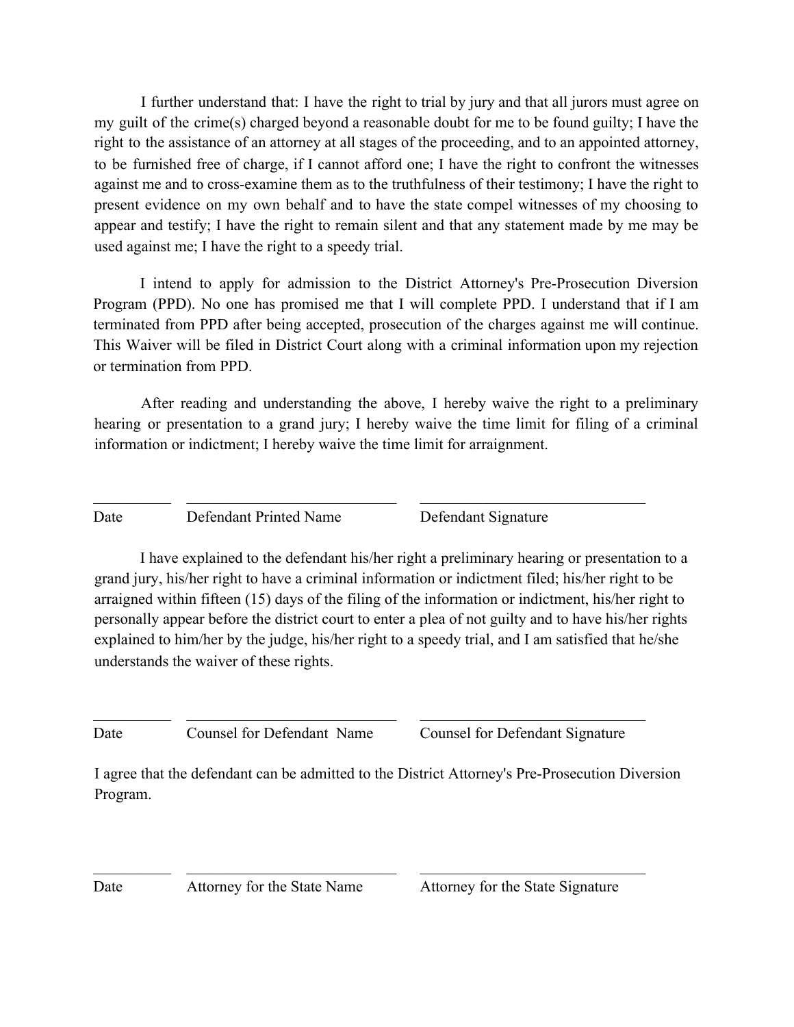I further understand that: I have the right to trial by jury and that all jurors must agree on my guilt of the crime(s) charged beyond a reasonable doubt for me to be found guilty; I have the right to the assistance of an attorney at all stages of the proceeding, and to an appointed attorney, to be furnished free of charge, if I cannot afford one; I have the right to confront the witnesses against me and to cross-examine them as to the truthfulness of their testimony; I have the right to present evidence on my own behalf and to have the state compel witnesses of my choosing to appear and testify; I have the right to remain silent and that any statement made by me may be used against me; I have the right to a speedy trial.

I intend to apply for admission to the District Attorney's Pre-Prosecution Diversion Program (PPD). No one has promised me that I will complete PPD. I understand that if I am terminated from PPD after being accepted, prosecution of the charges against me will continue. This Waiver will be filed in District Court along with a criminal information upon my rejection or termination from PPD.

After reading and understanding the above, I hereby waive the right to a preliminary hearing or presentation to a grand jury; I hereby waive the time limit for filing of a criminal information or indictment; I hereby waive the time limit for arraignment.

 $\_$  , and the set of the set of the set of the set of the set of the set of the set of the set of the set of the set of the set of the set of the set of the set of the set of the set of the set of the set of the set of th

Date Defendant Printed Name Defendant Signature

I have explained to the defendant his/her right a preliminary hearing or presentation to a grand jury, his/her right to have a criminal information or indictment filed; his/her right to be arraigned within fifteen (15) days of the filing of the information or indictment, his/her right to personally appear before the district court to enter a plea of not guilty and to have his/her rights explained to him/her by the judge, his/her right to a speedy trial, and I am satisfied that he/she understands the waiver of these rights.

Date Counsel for Defendant Name Counsel for Defendant Signature

I agree that the defendant can be admitted to the District Attorney's Pre-Prosecution Diversion Program.

 $\_$  , and the set of the set of the set of the set of the set of the set of the set of the set of the set of the set of the set of the set of the set of the set of the set of the set of the set of the set of the set of th

 $\_$  , and the set of the set of the set of the set of the set of the set of the set of the set of the set of the set of the set of the set of the set of the set of the set of the set of the set of the set of the set of th